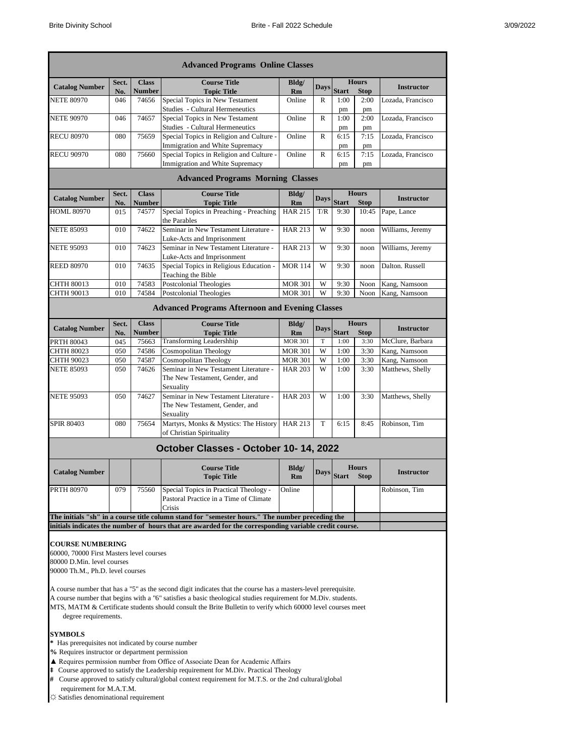|                                                                        |              |                               | <b>Advanced Programs Online Classes</b>                                                                                                                                                                                      |                |              |                                             |                             |                   |
|------------------------------------------------------------------------|--------------|-------------------------------|------------------------------------------------------------------------------------------------------------------------------------------------------------------------------------------------------------------------------|----------------|--------------|---------------------------------------------|-----------------------------|-------------------|
| <b>Catalog Number</b>                                                  | Sect.<br>No. | <b>Class</b><br><b>Number</b> | <b>Course Title</b><br><b>Topic Title</b>                                                                                                                                                                                    | Bldg/<br>Rm    | <b>Days</b>  | <b>Hours</b><br><b>Start</b><br><b>Stop</b> |                             | <b>Instructor</b> |
| <b>NETE 80970</b>                                                      | 046          | 74656                         | Special Topics in New Testament                                                                                                                                                                                              | Online         | R            | 1:00                                        | 2:00                        | Lozada, Francisco |
|                                                                        |              |                               | Studies - Cultural Hermeneutics                                                                                                                                                                                              |                |              | pm                                          | pm                          |                   |
| <b>NETE 90970</b>                                                      | 046          | 74657                         | Special Topics in New Testament<br>Studies - Cultural Hermeneutics                                                                                                                                                           | Online         | $\mathbb{R}$ | 1:00<br>pm                                  | 2:00<br>pm                  | Lozada, Francisco |
| <b>RECU 80970</b>                                                      | 080          | 75659                         | Special Topics in Religion and Culture -<br>Immigration and White Supremacy                                                                                                                                                  | Online         | R            | 6:15<br>pm                                  | 7:15<br>pm                  | Lozada, Francisco |
| <b>RECU 90970</b>                                                      | 080          | 75660                         | Special Topics in Religion and Culture -                                                                                                                                                                                     | Online         | $\mathbb{R}$ | 6:15                                        | 7:15                        | Lozada, Francisco |
|                                                                        |              |                               | Immigration and White Supremacy<br><b>Advanced Programs Morning Classes</b>                                                                                                                                                  |                |              | pm                                          | pm                          |                   |
|                                                                        | Sect.        | <b>Class</b>                  | <b>Course Title</b>                                                                                                                                                                                                          | Bldg/          |              |                                             | <b>Hours</b>                |                   |
| <b>Catalog Number</b>                                                  | No.          | Number                        | <b>Topic Title</b>                                                                                                                                                                                                           | Rm             | Days         | <b>Start</b>                                | <b>Stop</b>                 | <b>Instructor</b> |
| HOML 80970                                                             | 015          | 74577                         | Special Topics in Preaching - Preaching<br>the Parables                                                                                                                                                                      | <b>HAR 215</b> | T/R          | 9:30                                        | 10:45                       | Pape, Lance       |
| <b>NETE 85093</b>                                                      | 010          | 74622                         | Seminar in New Testament Literature -<br>Luke-Acts and Imprisonment                                                                                                                                                          | <b>HAR 213</b> | W            | 9:30                                        | noon                        | Williams, Jeremy  |
| <b>NETE 95093</b>                                                      | 010          | 74623                         | Seminar in New Testament Literature -<br>Luke-Acts and Imprisonment                                                                                                                                                          | <b>HAR 213</b> | W            | 9:30                                        | noon                        | Williams, Jeremy  |
| <b>REED 80970</b>                                                      | 010          | 74635                         | Special Topics in Religious Education -<br>Teaching the Bible                                                                                                                                                                | <b>MOR 114</b> | W            | 9:30                                        | noon                        | Dalton. Russell   |
| CHTH 80013                                                             | 010          | 74583                         | Postcolonial Theologies                                                                                                                                                                                                      | <b>MOR 301</b> | W            | 9:30                                        | Noon                        | Kang, Namsoon     |
| CHTH 90013                                                             | 010          | 74584                         | Postcolonial Theologies                                                                                                                                                                                                      | <b>MOR 301</b> | W            | 9:30                                        | Noon                        | Kang, Namsoon     |
|                                                                        |              |                               | <b>Advanced Programs Afternoon and Evening Classes</b>                                                                                                                                                                       |                |              |                                             |                             |                   |
|                                                                        | Sect.        | <b>Class</b>                  | <b>Course Title</b>                                                                                                                                                                                                          | Bldg/          |              |                                             | <b>Hours</b>                |                   |
| <b>Catalog Number</b>                                                  | No.          | <b>Number</b>                 | <b>Topic Title</b>                                                                                                                                                                                                           | Rm             | <b>Days</b>  | <b>Start</b>                                | <b>Stop</b>                 | <b>Instructor</b> |
| PRTH 80043                                                             | 045          | 75663                         | <b>Transforming Leadershhip</b>                                                                                                                                                                                              | <b>MOR 301</b> | T            | 1:00                                        | 3:30                        | McClure, Barbara  |
| CHTH 80023                                                             | 050          | 74586                         | Cosmopolitan Theology                                                                                                                                                                                                        | <b>MOR 301</b> | W            | 1:00                                        | 3:30                        | Kang, Namsoon     |
| CHTH 90023                                                             | 050          | 74587                         | Cosmopolitan Theology                                                                                                                                                                                                        | <b>MOR 301</b> | W            | 1:00                                        | 3:30                        | Kang, Namsoon     |
| <b>NETE 85093</b>                                                      | 050          | 74626                         | Seminar in New Testament Literature -<br>The New Testament, Gender, and<br>Sexuality                                                                                                                                         | <b>HAR 203</b> | W            | 1:00                                        | 3:30                        | Matthews, Shelly  |
| <b>NETE 95093</b>                                                      | 050          | 74627                         | Seminar in New Testament Literature -<br>The New Testament, Gender, and<br>Sexuality                                                                                                                                         | <b>HAR 203</b> | W            | 1:00                                        | 3:30                        | Matthews, Shelly  |
| <b>SPIR 80403</b>                                                      | 080          | 75654                         | Martyrs, Monks & Mystics: The History<br>of Christian Spirituality                                                                                                                                                           | <b>HAR 213</b> | T            | 6:15                                        | 8:45                        | Robinson, Tim     |
|                                                                        |              |                               | October Classes - October 10-14, 2022                                                                                                                                                                                        |                |              |                                             |                             |                   |
|                                                                        |              |                               |                                                                                                                                                                                                                              |                |              |                                             |                             |                   |
| <b>Catalog Number</b>                                                  |              |                               | <b>Course Title</b><br><b>Topic Title</b>                                                                                                                                                                                    | Bldg/<br>Rm    | Days         | <b>Start</b>                                | <b>Hours</b><br><b>Stop</b> | <b>Instructor</b> |
| <b>PRTH 80970</b>                                                      | 079          | 75560                         | Special Topics in Practical Theology -<br>Pastoral Practice in a Time of Climate<br>Crisis                                                                                                                                   | Online         |              |                                             |                             | Robinson, Tim     |
|                                                                        |              |                               | The initials "sh" in a course title column stand for "semester hours." The number preceding the                                                                                                                              |                |              |                                             |                             |                   |
|                                                                        |              |                               | initials indicates the number of hours that are awarded for the corresponding variable credit course.                                                                                                                        |                |              |                                             |                             |                   |
|                                                                        |              |                               |                                                                                                                                                                                                                              |                |              |                                             |                             |                   |
| <b>COURSE NUMBERING</b>                                                |              |                               |                                                                                                                                                                                                                              |                |              |                                             |                             |                   |
| 60000, 70000 First Masters level courses<br>80000 D.Min. level courses |              |                               |                                                                                                                                                                                                                              |                |              |                                             |                             |                   |
| 90000 Th.M., Ph.D. level courses                                       |              |                               |                                                                                                                                                                                                                              |                |              |                                             |                             |                   |
|                                                                        |              |                               |                                                                                                                                                                                                                              |                |              |                                             |                             |                   |
|                                                                        |              |                               | A course number that has a "5" as the second digit indicates that the course has a masters-level prerequisite.                                                                                                               |                |              |                                             |                             |                   |
| degree requirements.                                                   |              |                               | A course number that begins with a "6" satisfies a basic theological studies requirement for M.Div. students.<br>MTS, MATM & Certificate students should consult the Brite Bulletin to verify which 60000 level courses meet |                |              |                                             |                             |                   |
| <b>SYMBOLS</b>                                                         |              |                               |                                                                                                                                                                                                                              |                |              |                                             |                             |                   |
| * Has prerequisites not indicated by course number                     |              |                               |                                                                                                                                                                                                                              |                |              |                                             |                             |                   |
| % Requires instructor or department permission                         |              |                               |                                                                                                                                                                                                                              |                |              |                                             |                             |                   |

- ▲ Requires permission number from Office of Associate Dean for Academic Affairs
- **‡** Course approved to satisfy the Leadership requirement for M.Div. Practical Theology
- **#** Course approved to satisfy cultural/global context requirement for M.T.S. or the 2nd cultural/global requirement for M.A.T.M.
- **☼** Satisfies denominational requirement